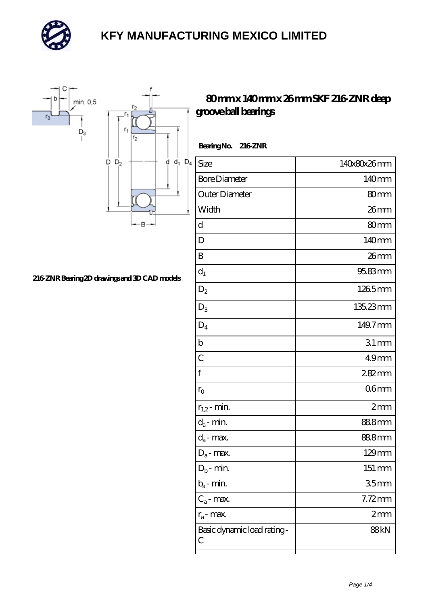



# **[216-ZNR Bearing 2D drawings and 3D CAD models](https://m.mailemotion.tv/pic-413081.html)**

#### **[80 mm x 140 mm x 26 mm SKF 216-ZNR deep](https://m.mailemotion.tv/bj-413081-skf-216-znr-deep-groove-ball-bearings.html) [groove ball bearings](https://m.mailemotion.tv/bj-413081-skf-216-znr-deep-groove-ball-bearings.html)**

| BearingNo. 216ZNR               |                    |  |
|---------------------------------|--------------------|--|
| Size                            | 140x80x26mm        |  |
| <b>Bore Diameter</b>            | 140mm              |  |
| Outer Diameter                  | 80mm               |  |
| Width                           | $26$ mm            |  |
| d                               | 80 <sub>mm</sub>   |  |
| D                               | 140mm              |  |
| B                               | 26mm               |  |
| $d_1$                           | 95.83mm            |  |
| $D_2$                           | 1265mm             |  |
| $D_3$                           | 135.23mm           |  |
| $\mathsf{D}_4$                  | 149.7mm            |  |
| $\mathbf b$                     | 31mm               |  |
| $\overline{C}$                  | 49 <sub>mm</sub>   |  |
| $\mathbf{f}$                    | 282mm              |  |
| $r_{\rm O}$                     | 06 <sub>mm</sub>   |  |
| $r_{1,2}$ - min.                | 2mm                |  |
| $d_a$ - min.                    | 888mm              |  |
| $d_a$ - max.                    | 888mm              |  |
| $D_a$ - max.                    | $129$ mm           |  |
| $D_b$ - min.                    | $151 \, \text{mm}$ |  |
| $b_a$ - min.                    | 35 <sub>mm</sub>   |  |
| $C_a$ - max.                    | $7.72$ mm          |  |
| $r_a$ - max.                    | 2mm                |  |
| Basic dynamic load rating-<br>С | 88kN               |  |
|                                 |                    |  |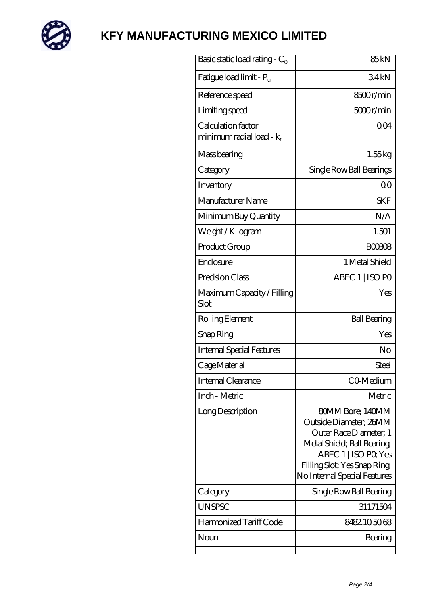

| Basic static load rating - $C_0$                           | 85 <sub>kN</sub>                                                                                                                                                                           |
|------------------------------------------------------------|--------------------------------------------------------------------------------------------------------------------------------------------------------------------------------------------|
| Fatigue load limit - P <sub>u</sub>                        | 34kN                                                                                                                                                                                       |
| Reference speed                                            | 8500r/min                                                                                                                                                                                  |
| Limiting speed                                             | 5000r/min                                                                                                                                                                                  |
| Calculation factor<br>minimum radial load - k <sub>r</sub> | 0 <sub>O</sub> 4                                                                                                                                                                           |
| Mass bearing                                               | 1.55kg                                                                                                                                                                                     |
| Category                                                   | Single Row Ball Bearings                                                                                                                                                                   |
| Inventory                                                  | 0 <sup>0</sup>                                                                                                                                                                             |
| Manufacturer Name                                          | <b>SKF</b>                                                                                                                                                                                 |
| Minimum Buy Quantity                                       | N/A                                                                                                                                                                                        |
| Weight / Kilogram                                          | 1.501                                                                                                                                                                                      |
| Product Group                                              | <b>BOO3O8</b>                                                                                                                                                                              |
| Enclosure                                                  | 1 Metal Shield                                                                                                                                                                             |
| Precision Class                                            | ABEC 1   ISO PO                                                                                                                                                                            |
| Maximum Capacity / Filling<br>Slot                         | Yes                                                                                                                                                                                        |
| Rolling Element                                            | <b>Ball Bearing</b>                                                                                                                                                                        |
| Snap Ring                                                  | Yes                                                                                                                                                                                        |
| <b>Internal Special Features</b>                           | N <sub>o</sub>                                                                                                                                                                             |
| Cage Material                                              | Steel                                                                                                                                                                                      |
| <b>Internal Clearance</b>                                  | CO-Medium                                                                                                                                                                                  |
| Inch - Metric                                              | Metric                                                                                                                                                                                     |
| Long Description                                           | 80MM Bore; 140MM<br>Outside Diameter; 26MM<br>Outer Race Diameter; 1<br>Metal Shield; Ball Bearing;<br>ABEC 1   ISO PO, Yes<br>Filling Slot; Yes Snap Ring<br>No Internal Special Features |
| Category                                                   | Single Row Ball Bearing                                                                                                                                                                    |
| <b>UNSPSC</b>                                              | 31171504                                                                                                                                                                                   |
| Harmonized Tariff Code                                     | 8482105068                                                                                                                                                                                 |
| Noun                                                       | Bearing                                                                                                                                                                                    |
|                                                            |                                                                                                                                                                                            |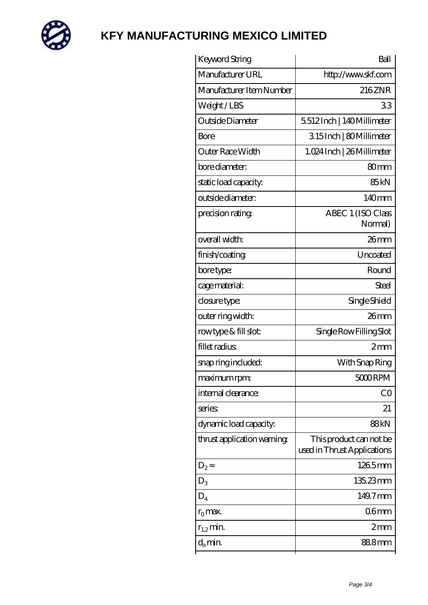

| Keyword String             | Ball                                                   |
|----------------------------|--------------------------------------------------------|
| Manufacturer URL           | http://www.skf.com                                     |
| Manufacturer Item Number   | 216ZNR                                                 |
| Weight/LBS                 | 33                                                     |
| Outside Diameter           | 5512Inch   140Millimeter                               |
| Bore                       | 315Inch   80Millimeter                                 |
| Outer Race Width           | 1.024 Inch   26 Millimeter                             |
| bore diameter:             | 80mm                                                   |
| static load capacity:      | 85 <sub>kN</sub>                                       |
| outside diameter:          | 140mm                                                  |
| precision rating           | ABEC 1 (ISO Class<br>Normal)                           |
| overall width:             | $26$ mm                                                |
| finish/coating             | Uncoated                                               |
| bore type:                 | Round                                                  |
| cage material:             | Steel                                                  |
| closure type:              | Single Shield                                          |
| outer ring width:          | $26$ mm                                                |
| rowtype & fill slot:       | Single Row Filling Slot                                |
| fillet radius              | 2mm                                                    |
| snap ring included:        | With Snap Ring                                         |
| maximum rpm:               | 5000RPM                                                |
| internal clearance:        | CO                                                     |
| series                     | 21                                                     |
| dynamic load capacity:     | 88kN                                                   |
| thrust application warning | This product can not be<br>used in Thrust Applications |
| $D_2$                      | 1265mm                                                 |
| $D_3$                      | 135.23mm                                               |
| $D_4$                      | 149.7mm                                                |
| $r_0$ max.                 | 06mm                                                   |
| $r_{1,2}$ min.             | 2mm                                                    |
| $d_a$ min.                 | 888mm                                                  |
|                            |                                                        |